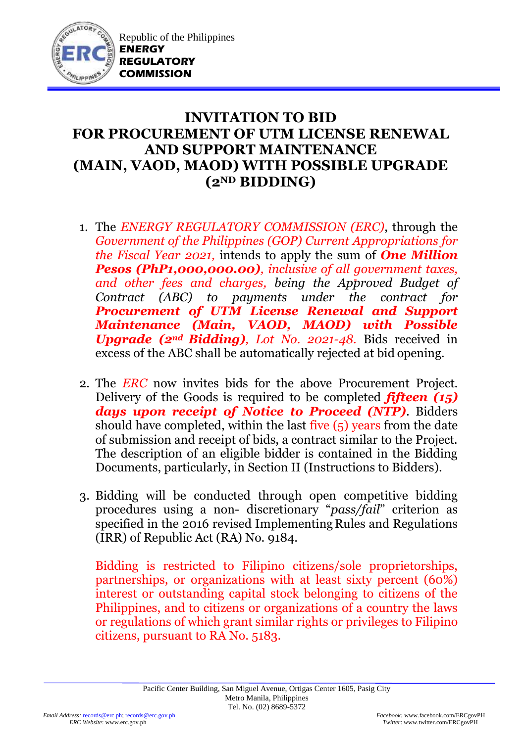

## **INVITATION TO BID FOR PROCUREMENT OF UTM LICENSE RENEWAL AND SUPPORT MAINTENANCE (MAIN, VAOD, MAOD) WITH POSSIBLE UPGRADE (2ND BIDDING)**

- 1. The *ENERGY REGULATORY COMMISSION (ERC)*, through the *Government of the Philippines (GOP) Current Appropriations for the Fiscal Year 2021,* intends to apply the sum of *One Million Pesos (PhP1,000,000.00), inclusive of all government taxes, and other fees and charges, being the Approved Budget of Contract (ABC) to payments under the contract for Procurement of UTM License Renewal and Support Maintenance (Main, VAOD, MAOD) with Possible Upgrade (2nd Bidding), Lot No. 2021-48.* Bids received in excess of the ABC shall be automatically rejected at bid opening.
- 2. The *ERC* now invites bids for the above Procurement Project. Delivery of the Goods is required to be completed *fifteen (15) days upon receipt of Notice to Proceed (NTP)*. Bidders should have completed, within the last five (5) years from the date of submission and receipt of bids, a contract similar to the Project. The description of an eligible bidder is contained in the Bidding Documents, particularly, in Section II (Instructions to Bidders).
- 3. Bidding will be conducted through open competitive bidding procedures using a non- discretionary "*pass/fail*" criterion as specified in the 2016 revised Implementing Rules and Regulations (IRR) of Republic Act (RA) No. 9184.

Bidding is restricted to Filipino citizens/sole proprietorships, partnerships, or organizations with at least sixty percent (60%) interest or outstanding capital stock belonging to citizens of the Philippines, and to citizens or organizations of a country the laws or regulations of which grant similar rights or privileges to Filipino citizens, pursuant to RA No. 5183.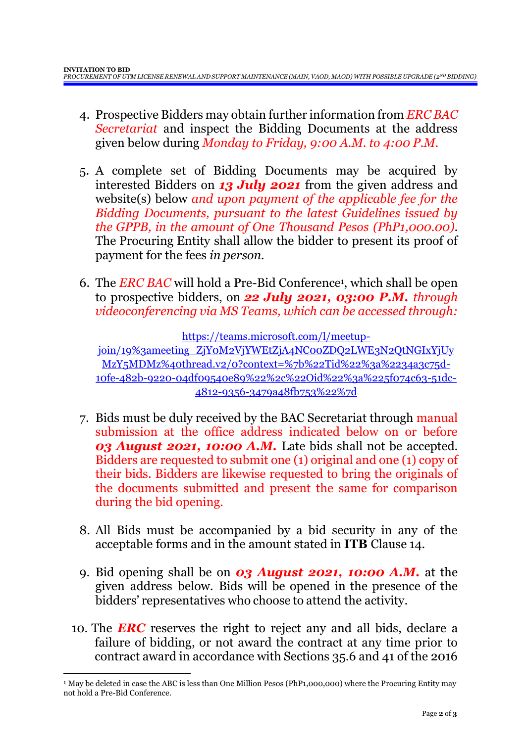- 4. Prospective Bidders may obtain further information from *ERC BAC Secretariat* and inspect the Bidding Documents at the address given below during *Monday to Friday, 9:00 A.M. to 4:00 P.M*.
- 5. A complete set of Bidding Documents may be acquired by interested Bidders on *13 July 2021* from the given address and website(s) below *and upon payment of the applicable fee for the Bidding Documents, pursuant to the latest Guidelines issued by the GPPB, in the amount of One Thousand Pesos (PhP1,000.00)*. The Procuring Entity shall allow the bidder to present its proof of payment for the fees *in person.*
- 6. The *ERC BAC* will hold a Pre-Bid Conference<sup>1</sup> , which shall be open to prospective bidders, on *22 July 2021, 03:00 P.M. through videoconferencing via MS Teams, which can be accessed through:*

[https://teams.microsoft.com/l/meetup-](https://teams.microsoft.com/l/meetup-join/19%3ameeting_ZjY0M2VjYWEtZjA4NC00ZDQ2LWE3N2QtNGIxYjUyMzY5MDMz%40thread.v2/0?context=%7b%22Tid%22%3a%2234a3c75d-10fe-482b-9220-04df09540e89%22%2c%22Oid%22%3a%225f074c63-51dc-4812-9356-3479a48fb753%22%7d)

[join/19%3ameeting\\_ZjY0M2VjYWEtZjA4NC00ZDQ2LWE3N2QtNGIxYjUy](https://teams.microsoft.com/l/meetup-join/19%3ameeting_ZjY0M2VjYWEtZjA4NC00ZDQ2LWE3N2QtNGIxYjUyMzY5MDMz%40thread.v2/0?context=%7b%22Tid%22%3a%2234a3c75d-10fe-482b-9220-04df09540e89%22%2c%22Oid%22%3a%225f074c63-51dc-4812-9356-3479a48fb753%22%7d) [MzY5MDMz%40thread.v2/0?context=%7b%22Tid%22%3a%2234a3c75d-](https://teams.microsoft.com/l/meetup-join/19%3ameeting_ZjY0M2VjYWEtZjA4NC00ZDQ2LWE3N2QtNGIxYjUyMzY5MDMz%40thread.v2/0?context=%7b%22Tid%22%3a%2234a3c75d-10fe-482b-9220-04df09540e89%22%2c%22Oid%22%3a%225f074c63-51dc-4812-9356-3479a48fb753%22%7d)[10fe-482b-9220-04df09540e89%22%2c%22Oid%22%3a%225f074c63-51dc-](https://teams.microsoft.com/l/meetup-join/19%3ameeting_ZjY0M2VjYWEtZjA4NC00ZDQ2LWE3N2QtNGIxYjUyMzY5MDMz%40thread.v2/0?context=%7b%22Tid%22%3a%2234a3c75d-10fe-482b-9220-04df09540e89%22%2c%22Oid%22%3a%225f074c63-51dc-4812-9356-3479a48fb753%22%7d)[4812-9356-3479a48fb753%22%7d](https://teams.microsoft.com/l/meetup-join/19%3ameeting_ZjY0M2VjYWEtZjA4NC00ZDQ2LWE3N2QtNGIxYjUyMzY5MDMz%40thread.v2/0?context=%7b%22Tid%22%3a%2234a3c75d-10fe-482b-9220-04df09540e89%22%2c%22Oid%22%3a%225f074c63-51dc-4812-9356-3479a48fb753%22%7d)

- 7. Bids must be duly received by the BAC Secretariat through manual submission at the office address indicated below on or before *03 August 2021, 10:00 A.M.* Late bids shall not be accepted. Bidders are requested to submit one (1) original and one (1) copy of their bids. Bidders are likewise requested to bring the originals of the documents submitted and present the same for comparison during the bid opening.
- 8. All Bids must be accompanied by a bid security in any of the acceptable forms and in the amount stated in **ITB** Clause 14.
- 9. Bid opening shall be on *03 August 2021, 10:00 A.M.* at the given address below. Bids will be opened in the presence of the bidders' representatives who choose to attend the activity.
- 10. The *ERC* reserves the right to reject any and all bids, declare a failure of bidding, or not award the contract at any time prior to contract award in accordance with Sections 35.6 and 41 of the 2016

1

<sup>1</sup> May be deleted in case the ABC is less than One Million Pesos (PhP1,000,000) where the Procuring Entity may not hold a Pre-Bid Conference.